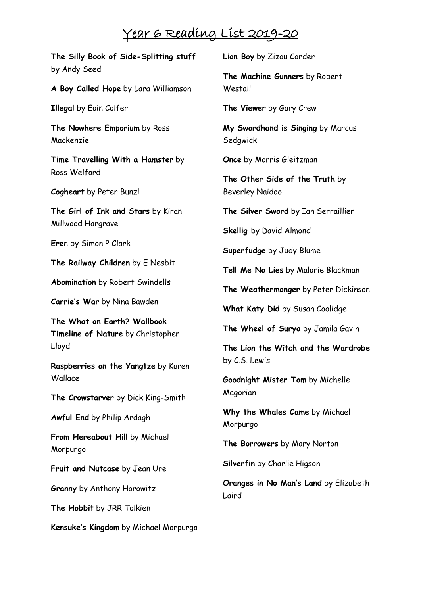## Year 6 Reading List 2019-20

**The Silly Book of Side-Splitting stuff** by Andy Seed **A Boy Called Hope** by Lara Williamson **Illegal** by Eoin Colfer **The Nowhere Emporium** by Ross Mackenzie **Time Travelling With a Hamster** by Ross Welford **Cogheart** by Peter Bunzl **The Girl of Ink and Stars** by Kiran Millwood Hargrave **Ere**n by Simon P Clark **The Railway Children** by E Nesbit **Abomination** by Robert Swindells **Carrie's War** by Nina Bawden **The What on Earth? Wallbook Timeline of Nature** by Christopher Lloyd **Raspberries on the Yangtze** by Karen Wallace **The Crowstarver** by Dick King-Smith **Awful End** by Philip Ardagh **From Hereabout Hill** by Michael Morpurgo **Fruit and Nutcase** by Jean Ure **Granny** by Anthony Horowitz **The Hobbit** by JRR Tolkien **Kensuke's Kingdom** by Michael Morpurgo **Lion Boy** by Zizou Corder

**The Machine Gunners** by Robert Westall

**The Viewer** by Gary Crew

**My Swordhand is Singing** by Marcus **Sedgwick** 

**Once** by Morris Gleitzman

**The Other Side of the Truth** by Beverley Naidoo

**The Silver Sword** by Ian Serraillier

**Skellig** by David Almond

**Superfudge** by Judy Blume

**Tell Me No Lies** by Malorie Blackman

**The Weathermonger** by Peter Dickinson

**What Katy Did** by Susan Coolidge

**The Wheel of Surya** by Jamila Gavin

**The Lion the Witch and the Wardrobe** by C.S. Lewis

**Goodnight Mister Tom** by Michelle Magorian

**Why the Whales Came** by Michael Morpurgo

**The Borrowers** by Mary Norton

**Silverfin** by Charlie Higson

**Oranges in No Man's Land** by Elizabeth Laird